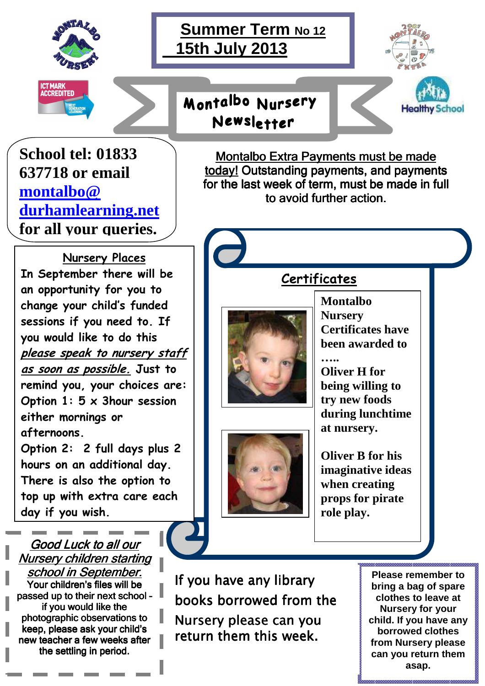



## Montalbo Nursery Newsletter



**Healthy School** 

**School tel: 01833 637718 or email montalbo@ durhamlearning.net for all your queries.**

**Nursery Places In September there will be an opportunity for you to change your child's funded sessions if you need to. If you would like to do this please speak to nursery staff as soon as possible. Just to remind you, your choices are: Option 1: 5 x 3hour session either mornings or afternoons.** 

**Option 2: 2 full days plus 2 hours on an additional day. There is also the option to top up with extra care each day if you wish.**

Good Luck to all our Nursery children starting school in September. Your children's files will be passed up to their next school if you would like the photographic observations to keep, please ask your child's new teacher a few weeks after the settling in period.

**Montalbo Extra Payments must be made** today! Outstanding payments, and payments for the last week of term, must be made in full to avoid further action.

**Certificates**







**Montalbo Nursery Certificates have been awarded to** 

**….. Oliver H for being willing to try new foods during lunchtime at nursery.** 

**Oliver B for his imaginative ideas when creating props for pirate role play.** 

If you have any library books borrowed from the Nursery please can you return them this week.

**Please remember to bring a bag of spare clothes to leave at Nursery for your child. If you have any borrowed clothes from Nursery please can you return them asap.**